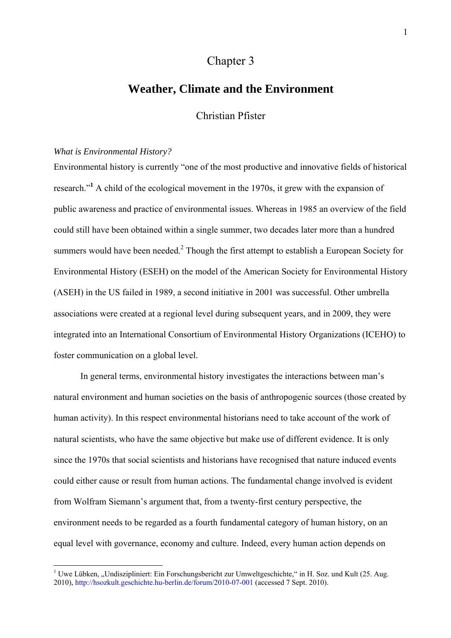## Chapter 3

# **Weather, Climate and the Environment**

Christian Pfister

### *What is Environmental History?*

1

Environmental history is currently "one of the most productive and innovative fields of historical research.<sup>31</sup> A child of the ecological movement in the 1970s, it grew with the expansion of public awareness and practice of environmental issues. Whereas in 1985 an overview of the field could still have been obtained within a single summer, two decades later more than a hundred summers would have been needed. $2$  Though the first attempt to establish a European Society for Environmental History (ESEH) on the model of the American Society for Environmental History (ASEH) in the US failed in 1989, a second initiative in 2001 was successful. Other umbrella associations were created at a regional level during subsequent years, and in 2009, they were integrated into an International Consortium of Environmental History Organizations (ICEHO) to foster communication on a global level.

In general terms, environmental history investigates the interactions between man's natural environment and human societies on the basis of anthropogenic sources (those created by human activity). In this respect environmental historians need to take account of the work of natural scientists, who have the same objective but make use of different evidence. It is only since the 1970s that social scientists and historians have recognised that nature induced events could either cause or result from human actions. The fundamental change involved is evident from Wolfram Siemann's argument that, from a twenty-first century perspective, the environment needs to be regarded as a fourth fundamental category of human history, on an equal level with governance, economy and culture. Indeed, every human action depends on

 $1$  Uwe Lübken, "Undiszipliniert: Ein Forschungsbericht zur Umweltgeschichte," in H. Soz. und Kult (25. Aug. 2010), http://hsozkult.geschichte.hu-berlin.de/forum/2010-07-001 (accessed 7 Sept. 2010).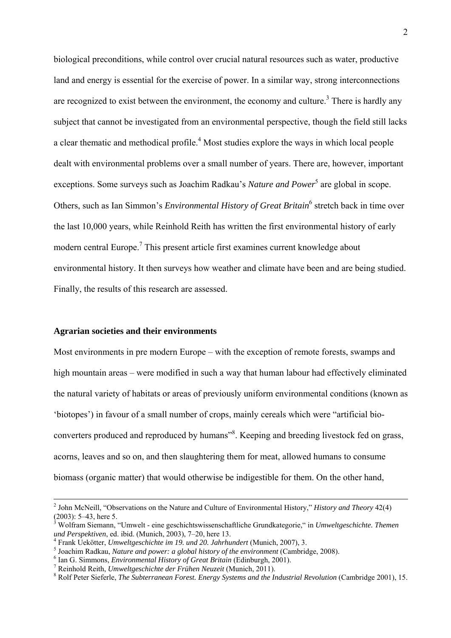biological preconditions, while control over crucial natural resources such as water, productive land and energy is essential for the exercise of power. In a similar way, strong interconnections are recognized to exist between the environment, the economy and culture.<sup>3</sup> There is hardly any subject that cannot be investigated from an environmental perspective, though the field still lacks a clear thematic and methodical profile.<sup>4</sup> Most studies explore the ways in which local people dealt with environmental problems over a small number of years. There are, however, important exceptions. Some surveys such as Joachim Radkau's *Nature and Power*<sup>5</sup> are global in scope. Others, such as Ian Simmon's *Environmental History of Great Britain*<sup>6</sup> stretch back in time over the last 10,000 years, while Reinhold Reith has written the first environmental history of early modern central Europe.<sup>7</sup> This present article first examines current knowledge about environmental history. It then surveys how weather and climate have been and are being studied. Finally, the results of this research are assessed.

### **Agrarian societies and their environments**

Most environments in pre modern Europe – with the exception of remote forests, swamps and high mountain areas – were modified in such a way that human labour had effectively eliminated the natural variety of habitats or areas of previously uniform environmental conditions (known as 'biotopes') in favour of a small number of crops, mainly cereals which were "artificial bioconverters produced and reproduced by humans<sup>38</sup>. Keeping and breeding livestock fed on grass, acorns, leaves and so on, and then slaughtering them for meat, allowed humans to consume biomass (organic matter) that would otherwise be indigestible for them. On the other hand,

 $\frac{1}{2}$ <sup>2</sup> John McNeill, "Observations on the Nature and Culture of Environmental History," *History and Theory* 42(4) (2003): 5–43, here 5.

<sup>3</sup> Wolfram Siemann, "Umwelt - eine geschichtswissenschaftliche Grundkategorie," in *Umweltgeschichte. Themen und Perspektiven*, ed. ibid. (Munich, 2003), 7–20, here 13. 4

<sup>&</sup>lt;sup>4</sup> Frank Uekötter, *Umweltgeschichte im 19. und 20. Jahrhundert* (Munich, 2007), 3.

<sup>&</sup>lt;sup>5</sup> Joachim Radkau, *Nature and power: a global history of the environment* (Cambridge, 2008).

<sup>&</sup>lt;sup>6</sup> Ian G. Simmons, *Environmental History of Great Britain* (Edinburgh, 2001).

Reinhold Reith, *Umweltgeschichte der Frühen Neuzeit* (Munich, 2011). 8

Rolf Peter Sieferle, *The Subterranean Forest. Energy Systems and the Industrial Revolution* (Cambridge 2001), 15.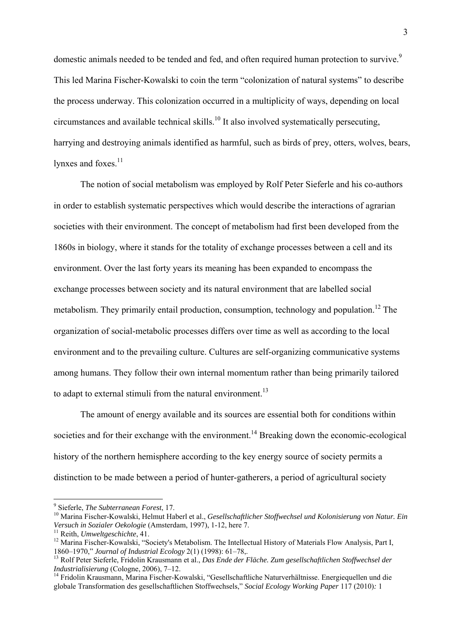domestic animals needed to be tended and fed, and often required human protection to survive.<sup>9</sup> This led Marina Fischer-Kowalski to coin the term "colonization of natural systems" to describe the process underway. This colonization occurred in a multiplicity of ways, depending on local circumstances and available technical skills.<sup>10</sup> It also involved systematically persecuting, harrying and destroying animals identified as harmful, such as birds of prey, otters, wolves, bears, lynxes and foxes $11$ 

The notion of social metabolism was employed by Rolf Peter Sieferle and his co-authors in order to establish systematic perspectives which would describe the interactions of agrarian societies with their environment. The concept of metabolism had first been developed from the 1860s in biology, where it stands for the totality of exchange processes between a cell and its environment. Over the last forty years its meaning has been expanded to encompass the exchange processes between society and its natural environment that are labelled social metabolism. They primarily entail production, consumption, technology and population.<sup>12</sup> The organization of social-metabolic processes differs over time as well as according to the local environment and to the prevailing culture. Cultures are self-organizing communicative systems among humans. They follow their own internal momentum rather than being primarily tailored to adapt to external stimuli from the natural environment.<sup>13</sup>

The amount of energy available and its sources are essential both for conditions within societies and for their exchange with the environment.<sup>14</sup> Breaking down the economic-ecological history of the northern hemisphere according to the key energy source of society permits a distinction to be made between a period of hunter-gatherers, a period of agricultural society

<sup>&</sup>lt;sup>9</sup> Sieferle, *The Subterranean Forest*, 17.

<sup>&</sup>lt;sup>10</sup> Marina Fischer-Kowalski, Helmut Haberl et al., *Gesellschaftlicher Stoffwechsel und Kolonisierung von Natur. Ein Versuch in Sozialer Oekologie (Amsterdam, 1997), 1-12, here 7.* 

<sup>&</sup>lt;sup>11</sup> Reith, *Umweltgeschichte*, 41.<br><sup>12</sup> Marina Fischer-Kowalski, "Society's Metabolism. The Intellectual History of Materials Flow Analysis, Part I, 1860–1970," *Journal of Industrial Ecology* 2(1) (1998): 61–78,.

<sup>&</sup>lt;sup>13</sup> Rolf Peter Sieferle, Fridolin Krausmann et al., *Das Ende der Fläche. Zum gesellschaftlichen Stoffwechsel der Industrialisierung (Cologne. 2006). 7–12.* 

<sup>&</sup>lt;sup>14</sup> Fridolin Krausmann, Marina Fischer-Kowalski, "Gesellschaftliche Naturverhältnisse. Energiequellen und die globale Transformation des gesellschaftlichen Stoffwechsels," *Social Ecology Working Paper* 117 (2010)*:* 1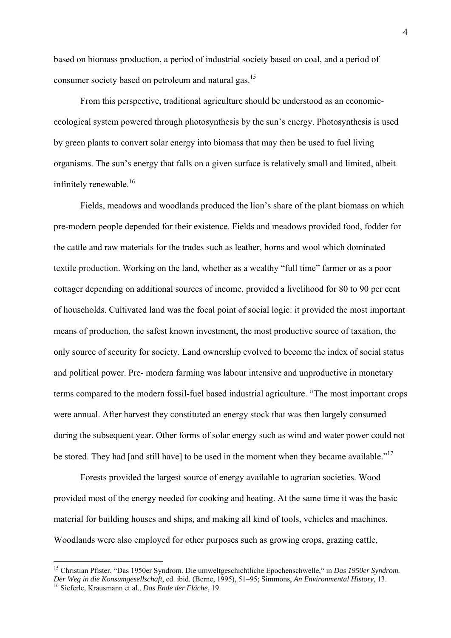based on biomass production, a period of industrial society based on coal, and a period of consumer society based on petroleum and natural gas.15

From this perspective, traditional agriculture should be understood as an economicecological system powered through photosynthesis by the sun's energy. Photosynthesis is used by green plants to convert solar energy into biomass that may then be used to fuel living organisms. The sun's energy that falls on a given surface is relatively small and limited, albeit infinitely renewable. $16$ 

Fields, meadows and woodlands produced the lion's share of the plant biomass on which pre-modern people depended for their existence. Fields and meadows provided food, fodder for the cattle and raw materials for the trades such as leather, horns and wool which dominated textile production. Working on the land, whether as a wealthy "full time" farmer or as a poor cottager depending on additional sources of income, provided a livelihood for 80 to 90 per cent of households. Cultivated land was the focal point of social logic: it provided the most important means of production, the safest known investment, the most productive source of taxation, the only source of security for society. Land ownership evolved to become the index of social status and political power. Pre- modern farming was labour intensive and unproductive in monetary terms compared to the modern fossil-fuel based industrial agriculture. "The most important crops were annual. After harvest they constituted an energy stock that was then largely consumed during the subsequent year. Other forms of solar energy such as wind and water power could not be stored. They had [and still have] to be used in the moment when they became available."<sup>17</sup>

Forests provided the largest source of energy available to agrarian societies. Wood provided most of the energy needed for cooking and heating. At the same time it was the basic material for building houses and ships, and making all kind of tools, vehicles and machines. Woodlands were also employed for other purposes such as growing crops, grazing cattle,

<sup>15</sup> Christian Pfister, "Das 1950er Syndrom. Die umweltgeschichtliche Epochenschwelle," in *Das 1950er Syndrom. Der Weg in die Konsumgesellschaft*, ed. ibid. (Berne, 1995), 51–95; Simmons, *An Environmental History,* 13. 16 Sieferle, Krausmann et al., *Das Ende der Fläche*, 19.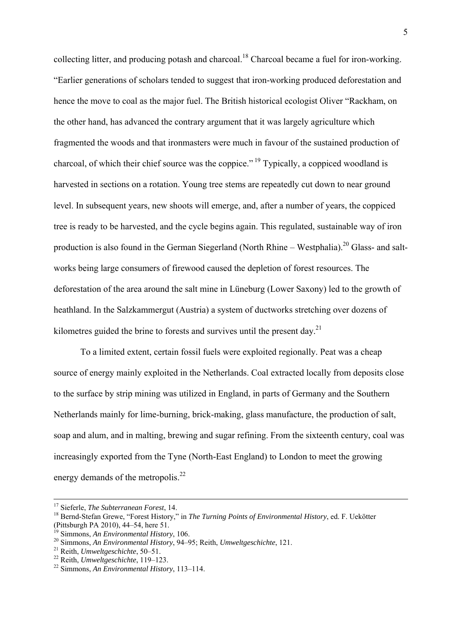collecting litter, and producing potash and charcoal.<sup>18</sup> Charcoal became a fuel for iron-working. "Earlier generations of scholars tended to suggest that iron-working produced deforestation and hence the move to coal as the major fuel. The British historical ecologist Oliver "Rackham, on the other hand, has advanced the contrary argument that it was largely agriculture which fragmented the woods and that ironmasters were much in favour of the sustained production of charcoal, of which their chief source was the coppice." 19 Typically, a coppiced woodland is harvested in sections on a rotation. Young tree stems are repeatedly cut down to near ground level. In subsequent years, new shoots will emerge, and, after a number of years, the coppiced tree is ready to be harvested, and the cycle begins again. This regulated, sustainable way of iron production is also found in the German Siegerland (North Rhine – Westphalia).<sup>20</sup> Glass- and saltworks being large consumers of firewood caused the depletion of forest resources. The deforestation of the area around the salt mine in Lüneburg (Lower Saxony) led to the growth of heathland. In the Salzkammergut (Austria) a system of ductworks stretching over dozens of kilometres guided the brine to forests and survives until the present day.<sup>21</sup>

To a limited extent, certain fossil fuels were exploited regionally. Peat was a cheap source of energy mainly exploited in the Netherlands. Coal extracted locally from deposits close to the surface by strip mining was utilized in England, in parts of Germany and the Southern Netherlands mainly for lime-burning, brick-making, glass manufacture, the production of salt, soap and alum, and in malting, brewing and sugar refining. From the sixteenth century, coal was increasingly exported from the Tyne (North-East England) to London to meet the growing energy demands of the metropolis.<sup>22</sup>

<sup>&</sup>lt;sup>17</sup> Sieferle, *The Subterranean Forest*, 14.<br><sup>18</sup> Bernd-Stefan Grewe, "Forest History," in *The Turning Points of Environmental History*, ed. F. Uekötter (Pittsburgh PA 2010), 44–54, here 51.<br><sup>19</sup> Simmons, An Environmental History, 106.

<sup>&</sup>lt;sup>20</sup> Simmons, An Environmental History, 94–95; Reith, Umweltgeschichte, 121.<br>
<sup>21</sup> Reith, Umweltgeschichte, 50–51.<br>
<sup>22</sup> Reith, Umweltgeschichte, 119–123.<br>
<sup>22</sup> Simmons, An Environmental History, 113–114.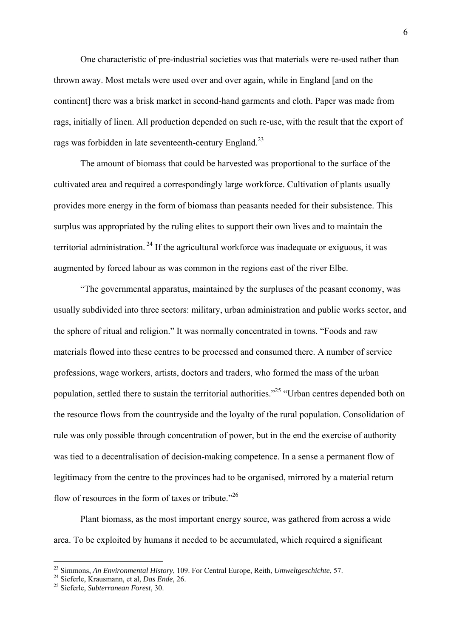One characteristic of pre-industrial societies was that materials were re-used rather than thrown away. Most metals were used over and over again, while in England [and on the continent] there was a brisk market in second-hand garments and cloth. Paper was made from rags, initially of linen. All production depended on such re-use, with the result that the export of rags was forbidden in late seventeenth-century England.<sup>23</sup>

The amount of biomass that could be harvested was proportional to the surface of the cultivated area and required a correspondingly large workforce. Cultivation of plants usually provides more energy in the form of biomass than peasants needed for their subsistence. This surplus was appropriated by the ruling elites to support their own lives and to maintain the territorial administration.  $24$  If the agricultural workforce was inadequate or exiguous, it was augmented by forced labour as was common in the regions east of the river Elbe.

"The governmental apparatus, maintained by the surpluses of the peasant economy, was usually subdivided into three sectors: military, urban administration and public works sector, and the sphere of ritual and religion." It was normally concentrated in towns. "Foods and raw materials flowed into these centres to be processed and consumed there. A number of service professions, wage workers, artists, doctors and traders, who formed the mass of the urban population, settled there to sustain the territorial authorities."25 "Urban centres depended both on the resource flows from the countryside and the loyalty of the rural population. Consolidation of rule was only possible through concentration of power, but in the end the exercise of authority was tied to a decentralisation of decision-making competence. In a sense a permanent flow of legitimacy from the centre to the provinces had to be organised, mirrored by a material return flow of resources in the form of taxes or tribute. $^{226}$ 

Plant biomass, as the most important energy source, was gathered from across a wide area. To be exploited by humans it needed to be accumulated, which required a significant

<sup>23</sup> Simmons, *An Environmental History*, 109. For Central Europe, Reith, *Umweltgeschichte*, 57. 24 Sieferle, Krausmann, et al, *Das Ende,* 26. 25 Sieferle, *Subterranean Forest*, 30.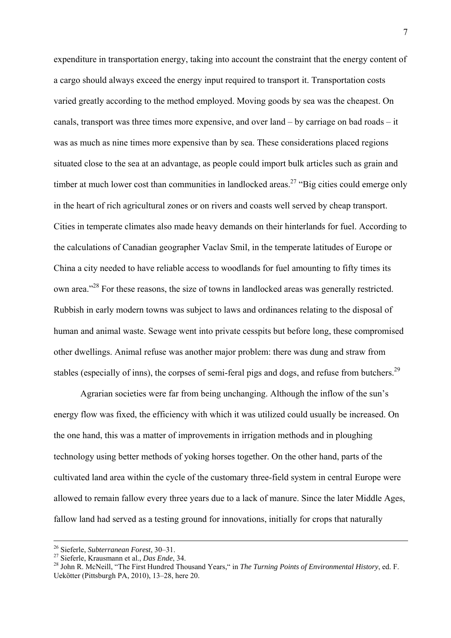expenditure in transportation energy, taking into account the constraint that the energy content of a cargo should always exceed the energy input required to transport it. Transportation costs varied greatly according to the method employed. Moving goods by sea was the cheapest. On canals, transport was three times more expensive, and over land – by carriage on bad roads – it was as much as nine times more expensive than by sea. These considerations placed regions situated close to the sea at an advantage, as people could import bulk articles such as grain and timber at much lower cost than communities in landlocked areas.<sup>27</sup> "Big cities could emerge only in the heart of rich agricultural zones or on rivers and coasts well served by cheap transport. Cities in temperate climates also made heavy demands on their hinterlands for fuel. According to the calculations of Canadian geographer Vaclav Smil, in the temperate latitudes of Europe or China a city needed to have reliable access to woodlands for fuel amounting to fifty times its own area."<sup>28</sup> For these reasons, the size of towns in landlocked areas was generally restricted. Rubbish in early modern towns was subject to laws and ordinances relating to the disposal of human and animal waste. Sewage went into private cesspits but before long, these compromised other dwellings. Animal refuse was another major problem: there was dung and straw from stables (especially of inns), the corpses of semi-feral pigs and dogs, and refuse from butchers.<sup>29</sup>

Agrarian societies were far from being unchanging. Although the inflow of the sun's energy flow was fixed, the efficiency with which it was utilized could usually be increased. On the one hand, this was a matter of improvements in irrigation methods and in ploughing technology using better methods of yoking horses together. On the other hand, parts of the cultivated land area within the cycle of the customary three-field system in central Europe were allowed to remain fallow every three years due to a lack of manure. Since the later Middle Ages, fallow land had served as a testing ground for innovations, initially for crops that naturally

<sup>&</sup>lt;sup>26</sup> Sieferle, *Subterranean Forest*, 30–31.<br><sup>27</sup> Sieferle, Krausmann et al., *Das Ende*, 34.<br><sup>28</sup> John R. McNeill, "The First Hundred Thousand Years," in *The Turning Points of Environmental History*, ed. F. Uekötter (Pittsburgh PA, 2010), 13–28, here 20.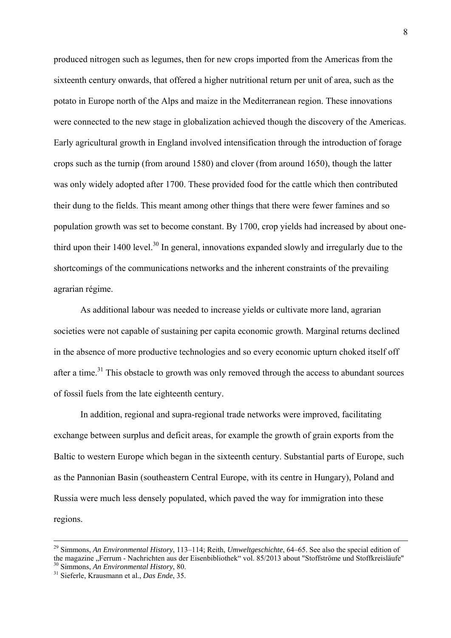produced nitrogen such as legumes, then for new crops imported from the Americas from the sixteenth century onwards, that offered a higher nutritional return per unit of area, such as the potato in Europe north of the Alps and maize in the Mediterranean region. These innovations were connected to the new stage in globalization achieved though the discovery of the Americas. Early agricultural growth in England involved intensification through the introduction of forage crops such as the turnip (from around 1580) and clover (from around 1650), though the latter was only widely adopted after 1700. These provided food for the cattle which then contributed their dung to the fields. This meant among other things that there were fewer famines and so population growth was set to become constant. By 1700, crop yields had increased by about onethird upon their 1400 level.<sup>30</sup> In general, innovations expanded slowly and irregularly due to the shortcomings of the communications networks and the inherent constraints of the prevailing agrarian régime.

As additional labour was needed to increase yields or cultivate more land, agrarian societies were not capable of sustaining per capita economic growth. Marginal returns declined in the absence of more productive technologies and so every economic upturn choked itself off after a time.<sup>31</sup> This obstacle to growth was only removed through the access to abundant sources of fossil fuels from the late eighteenth century.

In addition, regional and supra-regional trade networks were improved, facilitating exchange between surplus and deficit areas, for example the growth of grain exports from the Baltic to western Europe which began in the sixteenth century. Substantial parts of Europe, such as the Pannonian Basin (southeastern Central Europe, with its centre in Hungary), Poland and Russia were much less densely populated, which paved the way for immigration into these regions.

 <sup>29</sup> Simmons, *An Environmental History*, 113–114; Reith, *Umweltgeschichte*, 64–65. See also the special edition of the magazine "Ferrum - Nachrichten aus der Eisenbibliothek" vol. 85/2013 about "Stoffströme und Stoffkreisläufe"

<sup>30</sup> Simmons, *An Environmental History*, 80. 31 Sieferle, Krausmann et al., *Das Ende*, 35.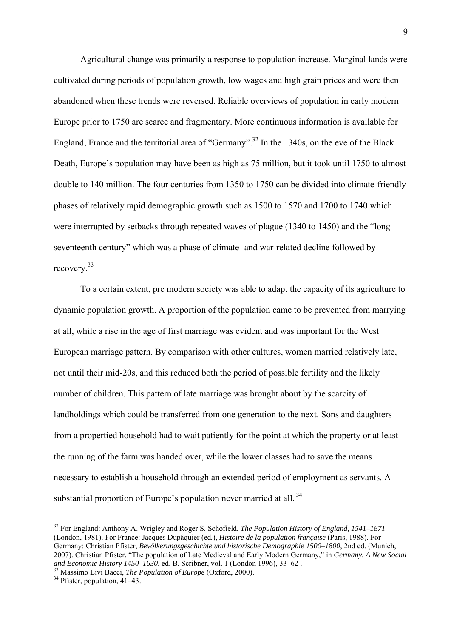Agricultural change was primarily a response to population increase. Marginal lands were cultivated during periods of population growth, low wages and high grain prices and were then abandoned when these trends were reversed. Reliable overviews of population in early modern Europe prior to 1750 are scarce and fragmentary. More continuous information is available for England, France and the territorial area of "Germany".<sup>32</sup> In the 1340s, on the eve of the Black Death, Europe's population may have been as high as 75 million, but it took until 1750 to almost double to 140 million. The four centuries from 1350 to 1750 can be divided into climate-friendly phases of relatively rapid demographic growth such as 1500 to 1570 and 1700 to 1740 which were interrupted by setbacks through repeated waves of plague (1340 to 1450) and the "long seventeenth century" which was a phase of climate- and war-related decline followed by recovery.33

To a certain extent, pre modern society was able to adapt the capacity of its agriculture to dynamic population growth. A proportion of the population came to be prevented from marrying at all, while a rise in the age of first marriage was evident and was important for the West European marriage pattern. By comparison with other cultures, women married relatively late, not until their mid-20s, and this reduced both the period of possible fertility and the likely number of children. This pattern of late marriage was brought about by the scarcity of landholdings which could be transferred from one generation to the next. Sons and daughters from a propertied household had to wait patiently for the point at which the property or at least the running of the farm was handed over, while the lower classes had to save the means necessary to establish a household through an extended period of employment as servants. A substantial proportion of Europe's population never married at all.<sup>34</sup>

<sup>32</sup> For England: Anthony A. Wrigley and Roger S. Schofield, *The Population History of England, 1541*–*1871*  (London, 1981). For France: Jacques Dupâquier (ed*.*)*, Histoire de la population française* (Paris, 1988). For Germany: Christian Pfister, *Bevölkerungsgeschichte und historische Demographie 1500–1800*, 2nd ed. (Munich, 2007). Christian Pfister, "The population of Late Medieval and Early Modern Germany," in *Germany. A New Social and Economic History 1450–1630*, ed. B. Scribner, vol. 1 (London 1996), 33–62 . 33 Massimo Livi Bacci, *The Population of Europe* (Oxford, 2000). 34 Pfister, population, 41–43.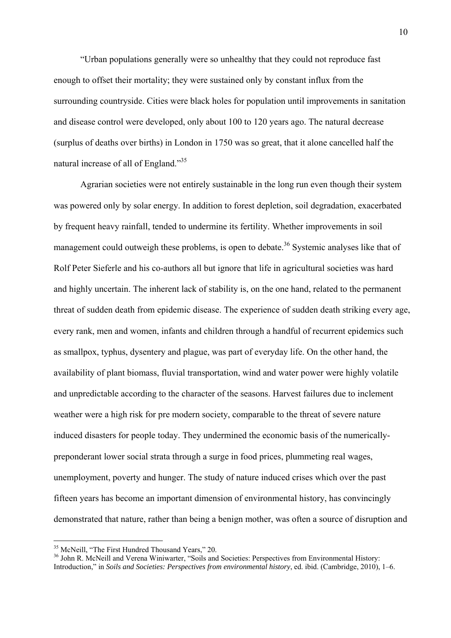"Urban populations generally were so unhealthy that they could not reproduce fast enough to offset their mortality; they were sustained only by constant influx from the surrounding countryside. Cities were black holes for population until improvements in sanitation and disease control were developed, only about 100 to 120 years ago. The natural decrease (surplus of deaths over births) in London in 1750 was so great, that it alone cancelled half the natural increase of all of England."35

Agrarian societies were not entirely sustainable in the long run even though their system was powered only by solar energy. In addition to forest depletion, soil degradation, exacerbated by frequent heavy rainfall, tended to undermine its fertility. Whether improvements in soil management could outweigh these problems, is open to debate.<sup>36</sup> Systemic analyses like that of Rolf Peter Sieferle and his co-authors all but ignore that life in agricultural societies was hard and highly uncertain. The inherent lack of stability is, on the one hand, related to the permanent threat of sudden death from epidemic disease. The experience of sudden death striking every age, every rank, men and women, infants and children through a handful of recurrent epidemics such as smallpox, typhus, dysentery and plague, was part of everyday life. On the other hand, the availability of plant biomass, fluvial transportation, wind and water power were highly volatile and unpredictable according to the character of the seasons. Harvest failures due to inclement weather were a high risk for pre modern society, comparable to the threat of severe nature induced disasters for people today. They undermined the economic basis of the numericallypreponderant lower social strata through a surge in food prices, plummeting real wages, unemployment, poverty and hunger. The study of nature induced crises which over the past fifteen years has become an important dimension of environmental history, has convincingly demonstrated that nature, rather than being a benign mother, was often a source of disruption and

<u>.</u>

<sup>&</sup>lt;sup>35</sup> McNeill, "The First Hundred Thousand Years," 20.

<sup>36</sup> John R. McNeill and Verena Winiwarter, "Soils and Societies: Perspectives from Environmental History: Introduction," in *Soils and Societies: Perspectives from environmental history*, ed. ibid. (Cambridge, 2010), 1–6.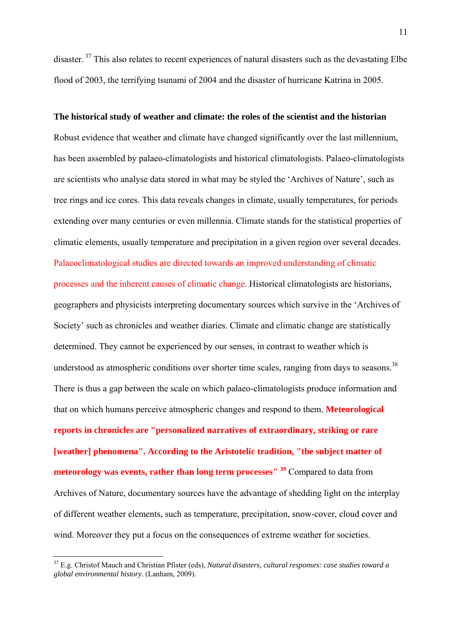disaster.<sup>37</sup> This also relates to recent experiences of natural disasters such as the devastating Elbe flood of 2003, the terrifying tsunami of 2004 and the disaster of hurricane Katrina in 2005.

## **The historical study of weather and climate: the roles of the scientist and the historian**

Robust evidence that weather and climate have changed significantly over the last millennium, has been assembled by palaeo-climatologists and historical climatologists. Palaeo-climatologists are scientists who analyse data stored in what may be styled the 'Archives of Nature', such as tree rings and ice cores. This data reveals changes in climate, usually temperatures, for periods extending over many centuries or even millennia. Climate stands for the statistical properties of climatic elements, usually temperature and precipitation in a given region over several decades. Palaeoclimatological studies are directed towards an improved understanding of climatic processes and the inherent causes of climatic change. Historical climatologists are historians, geographers and physicists interpreting documentary sources which survive in the 'Archives of Society' such as chronicles and weather diaries. Climate and climatic change are statistically determined. They cannot be experienced by our senses, in contrast to weather which is understood as atmospheric conditions over shorter time scales, ranging from days to seasons.<sup>38</sup> There is thus a gap between the scale on which palaeo-climatologists produce information and that on which humans perceive atmospheric changes and respond to them. **Meteorological reports in chronicles are "personalized narratives of extraordinary, striking or rare [weather] phenomena". According to the Aristotelic tradition, "the subject matter of meteorology was events, rather than long term processes" <sup>39</sup> Compared to data from** Archives of Nature, documentary sources have the advantage of shedding light on the interplay of different weather elements, such as temperature, precipitation, snow-cover, cloud cover and wind. Moreover they put a focus on the consequences of extreme weather for societies.

<u>.</u>

<sup>37</sup> E.g. Christof Mauch and Christian Pfister (eds), *Natural disasters, cultural responses: case studies toward a global environmental history*. (Lanham, 2009).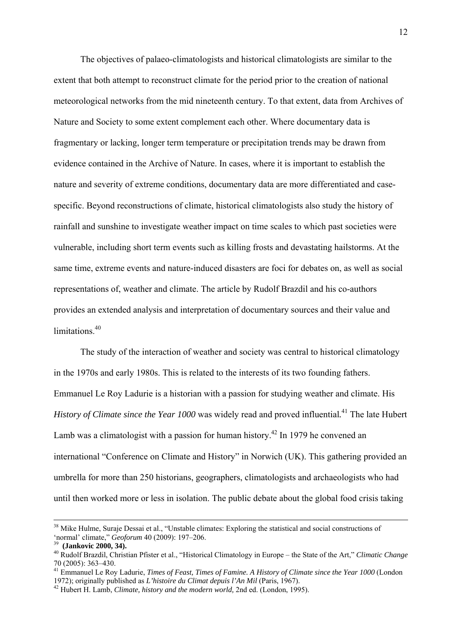The objectives of palaeo-climatologists and historical climatologists are similar to the extent that both attempt to reconstruct climate for the period prior to the creation of national meteorological networks from the mid nineteenth century. To that extent, data from Archives of Nature and Society to some extent complement each other. Where documentary data is fragmentary or lacking, longer term temperature or precipitation trends may be drawn from evidence contained in the Archive of Nature. In cases, where it is important to establish the nature and severity of extreme conditions, documentary data are more differentiated and casespecific. Beyond reconstructions of climate, historical climatologists also study the history of rainfall and sunshine to investigate weather impact on time scales to which past societies were vulnerable, including short term events such as killing frosts and devastating hailstorms. At the same time, extreme events and nature-induced disasters are foci for debates on, as well as social representations of, weather and climate. The article by Rudolf Brazdil and his co-authors provides an extended analysis and interpretation of documentary sources and their value and limitations. 40

The study of the interaction of weather and society was central to historical climatology in the 1970s and early 1980s. This is related to the interests of its two founding fathers. Emmanuel Le Roy Ladurie is a historian with a passion for studying weather and climate. His *History of Climate since the Year 1000* was widely read and proved influential*.* 41 The late Hubert Lamb was a climatologist with a passion for human history.<sup>42</sup> In 1979 he convened an international "Conference on Climate and History" in Norwich (UK). This gathering provided an umbrella for more than 250 historians, geographers, climatologists and archaeologists who had until then worked more or less in isolation. The public debate about the global food crisis taking

<sup>&</sup>lt;sup>38</sup> Mike Hulme, Suraje Dessai et al., "Unstable climates: Exploring the statistical and social constructions of 'normal' climate,"  $Geoforum$  40 (2009): 197–206.

<sup>&</sup>lt;sup>39</sup> (**Jankovic 2000, 34).**<br><sup>40</sup> Rudolf Brazdil, Christian Pfister et al., "Historical Climatology in Europe – the State of the Art," *Climatic Change* 70 (2005): 363–430.

<sup>41</sup> Emmanuel Le Roy Ladurie, *Times of Feast, Times of Famine. A History of Climate since the Year 1000* (London 1972); originally published as *L'histoire du Climat depuis l'An Mil* (Paris, 1967). 42 Hubert H. Lamb, *Climate, history and the modern world,* 2nd ed. (London, 1995).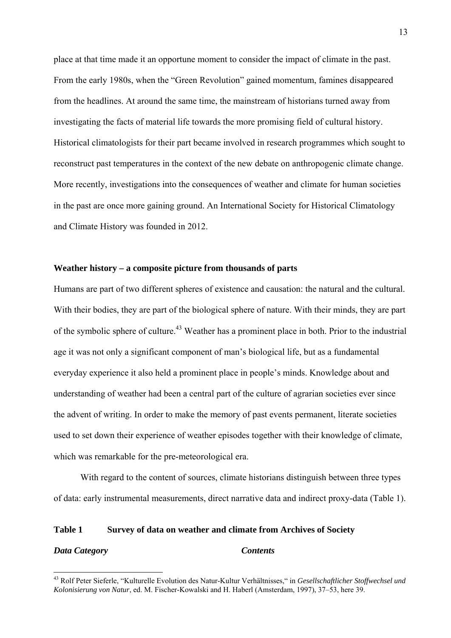place at that time made it an opportune moment to consider the impact of climate in the past. From the early 1980s, when the "Green Revolution" gained momentum, famines disappeared from the headlines. At around the same time, the mainstream of historians turned away from investigating the facts of material life towards the more promising field of cultural history. Historical climatologists for their part became involved in research programmes which sought to reconstruct past temperatures in the context of the new debate on anthropogenic climate change. More recently, investigations into the consequences of weather and climate for human societies in the past are once more gaining ground. An International Society for Historical Climatology and Climate History was founded in 2012.

## **Weather history – a composite picture from thousands of parts**

Humans are part of two different spheres of existence and causation: the natural and the cultural. With their bodies, they are part of the biological sphere of nature. With their minds, they are part of the symbolic sphere of culture.<sup>43</sup> Weather has a prominent place in both. Prior to the industrial age it was not only a significant component of man's biological life, but as a fundamental everyday experience it also held a prominent place in people's minds. Knowledge about and understanding of weather had been a central part of the culture of agrarian societies ever since the advent of writing. In order to make the memory of past events permanent, literate societies used to set down their experience of weather episodes together with their knowledge of climate, which was remarkable for the pre-meteorological era.

With regard to the content of sources, climate historians distinguish between three types of data: early instrumental measurements, direct narrative data and indirect proxy-data (Table 1).

## **Table 1 Survey of data on weather and climate from Archives of Society**

## *Data Category Contents*

<sup>43</sup> Rolf Peter Sieferle, "Kulturelle Evolution des Natur-Kultur Verhältnisses," in *Gesellschaftlicher Stoffwechsel und Kolonisierung von Natur*, ed. M. Fischer-Kowalski and H. Haberl (Amsterdam, 1997), 37–53, here 39.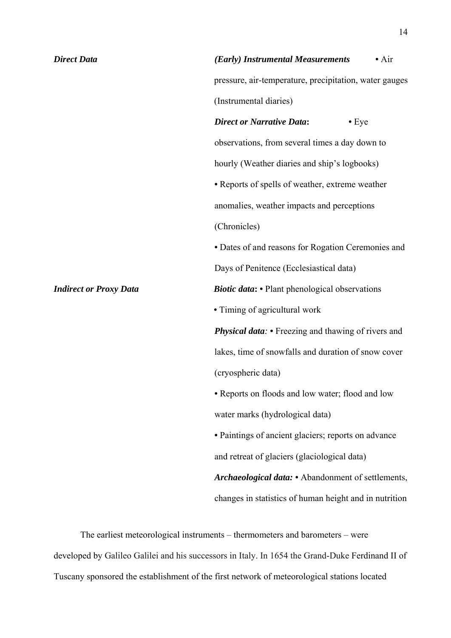| <b>Direct Data</b>            | $\bullet$ Air<br>(Early) Instrumental Measurements     |
|-------------------------------|--------------------------------------------------------|
|                               | pressure, air-temperature, precipitation, water gauges |
|                               | (Instrumental diaries)                                 |
|                               | <b>Direct or Narrative Data:</b><br>$\bullet$ Eye      |
|                               | observations, from several times a day down to         |
|                               | hourly (Weather diaries and ship's logbooks)           |
|                               | • Reports of spells of weather, extreme weather        |
|                               | anomalies, weather impacts and perceptions             |
|                               | (Chronicles)                                           |
|                               | • Dates of and reasons for Rogation Ceremonies and     |
|                               | Days of Penitence (Ecclesiastical data)                |
| <b>Indirect or Proxy Data</b> | <i>Biotic data:</i> • Plant phenological observations  |
|                               | • Timing of agricultural work                          |
|                               | Physical data: • Freezing and thawing of rivers and    |
|                               | lakes, time of snowfalls and duration of snow cover    |
|                               | (cryospheric data)                                     |
|                               | • Reports on floods and low water; flood and low       |
|                               | water marks (hydrological data)                        |
|                               | • Paintings of ancient glaciers; reports on advance    |
|                               | and retreat of glaciers (glaciological data)           |
|                               | Archaeological data: • Abandonment of settlements,     |
|                               | changes in statistics of human height and in nutrition |

The earliest meteorological instruments – thermometers and barometers – were developed by Galileo Galilei and his successors in Italy. In 1654 the Grand-Duke Ferdinand II of Tuscany sponsored the establishment of the first network of meteorological stations located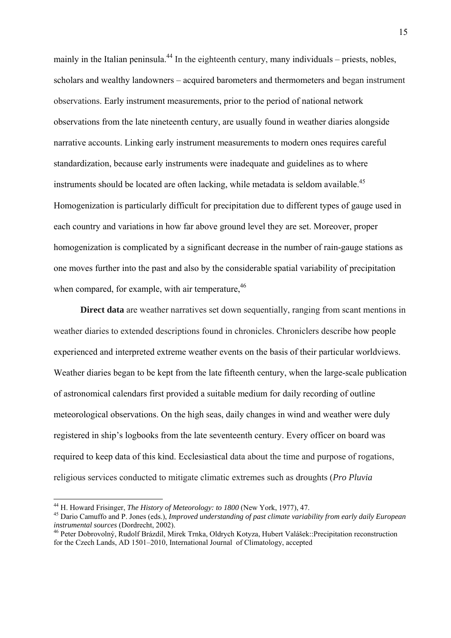mainly in the Italian peninsula.<sup>44</sup> In the eighteenth century, many individuals – priests, nobles, scholars and wealthy landowners – acquired barometers and thermometers and began instrument observations. Early instrument measurements, prior to the period of national network observations from the late nineteenth century, are usually found in weather diaries alongside narrative accounts. Linking early instrument measurements to modern ones requires careful standardization, because early instruments were inadequate and guidelines as to where instruments should be located are often lacking, while metadata is seldom available.<sup>45</sup> Homogenization is particularly difficult for precipitation due to different types of gauge used in each country and variations in how far above ground level they are set. Moreover, proper homogenization is complicated by a significant decrease in the number of rain-gauge stations as one moves further into the past and also by the considerable spatial variability of precipitation when compared, for example, with air temperature,  $46$ 

**Direct data** are weather narratives set down sequentially, ranging from scant mentions in weather diaries to extended descriptions found in chronicles. Chroniclers describe how people experienced and interpreted extreme weather events on the basis of their particular worldviews. Weather diaries began to be kept from the late fifteenth century, when the large-scale publication of astronomical calendars first provided a suitable medium for daily recording of outline meteorological observations. On the high seas, daily changes in wind and weather were duly registered in ship's logbooks from the late seventeenth century. Every officer on board was required to keep data of this kind. Ecclesiastical data about the time and purpose of rogations, religious services conducted to mitigate climatic extremes such as droughts (*Pro Pluvia*

<sup>&</sup>lt;sup>44</sup> H. Howard Frisinger, *The History of Meteorology: to 1800* (New York, 1977), 47.<br><sup>45</sup> Dario Camuffo and P. Jones (eds.), *Improved understanding of past climate variability from early daily European instrumental sou* 

<sup>&</sup>lt;sup>46</sup> Peter Dobrovolný, Rudolf Brázdil, Mirek Trnka, Oldrych Kotyza, Hubert Valášek::Precipitation reconstruction for the Czech Lands, AD 1501–2010, International Journal of Climatology, accepted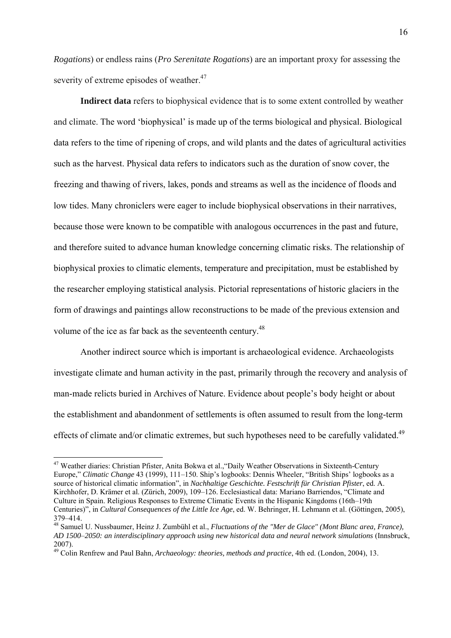*Rogations*) or endless rains (*Pro Serenitate Rogations*) are an important proxy for assessing the severity of extreme episodes of weather.<sup>47</sup>

**Indirect data** refers to biophysical evidence that is to some extent controlled by weather and climate. The word 'biophysical' is made up of the terms biological and physical. Biological data refers to the time of ripening of crops, and wild plants and the dates of agricultural activities such as the harvest. Physical data refers to indicators such as the duration of snow cover, the freezing and thawing of rivers, lakes, ponds and streams as well as the incidence of floods and low tides. Many chroniclers were eager to include biophysical observations in their narratives, because those were known to be compatible with analogous occurrences in the past and future, and therefore suited to advance human knowledge concerning climatic risks. The relationship of biophysical proxies to climatic elements, temperature and precipitation, must be established by the researcher employing statistical analysis. Pictorial representations of historic glaciers in the form of drawings and paintings allow reconstructions to be made of the previous extension and volume of the ice as far back as the seventeenth century.<sup>48</sup>

Another indirect source which is important is archaeological evidence. Archaeologists investigate climate and human activity in the past, primarily through the recovery and analysis of man-made relicts buried in Archives of Nature. Evidence about people's body height or about the establishment and abandonment of settlements is often assumed to result from the long-term effects of climate and/or climatic extremes, but such hypotheses need to be carefully validated.<sup>49</sup>

<sup>&</sup>lt;sup>47</sup> Weather diaries: Christian Pfister, Anita Bokwa et al., "Daily Weather Observations in Sixteenth-Century Europe," *Climatic Change* 43 (1999), 111–150. Ship's logbooks: Dennis Wheeler, "British Ships' logbooks as a source of historical climatic information", in *Nachhaltige Geschichte. Festschrift für Christian Pfister*, ed. A. Kirchhofer, D. Krämer et al. (Zürich, 2009), 109–126. Ecclesiastical data: Mariano Barriendos, "Climate and Culture in Spain. Religious Responses to Extreme Climatic Events in the Hispanic Kingdoms (16th–19th Centuries)", in *Cultural Consequences of the Little Ice Age*, ed. W. Behringer, H. Lehmann et al. (Göttingen, 2005), 379–414.

<sup>48</sup> Samuel U. Nussbaumer, Heinz J. Zumbühl et al., *Fluctuations of the "Mer de Glace" (Mont Blanc area, France), AD 1500*–*2050: an interdisciplinary approach using new historical data and neural network simulations* (Innsbruck, 2007).

<sup>49</sup> Colin Renfrew and Paul Bahn, *Archaeology: theories, methods and practice*, 4th ed. (London, 2004), 13.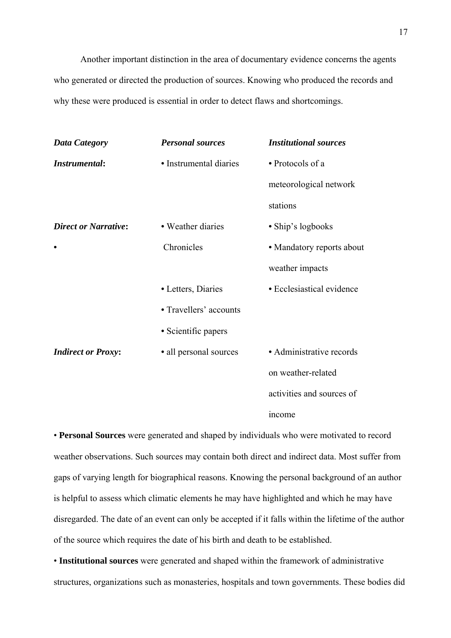Another important distinction in the area of documentary evidence concerns the agents who generated or directed the production of sources. Knowing who produced the records and why these were produced is essential in order to detect flaws and shortcomings.

| <b>Data Category</b>        | <b>Personal sources</b> | <b>Institutional sources</b> |
|-----------------------------|-------------------------|------------------------------|
| <b>Instrumental:</b>        | • Instrumental diaries  | • Protocols of a             |
|                             |                         | meteorological network       |
|                             |                         | stations                     |
| <b>Direct or Narrative:</b> | • Weather diaries       | • Ship's logbooks            |
|                             | Chronicles              | • Mandatory reports about    |
|                             |                         | weather impacts              |
|                             | • Letters, Diaries      | • Ecclesiastical evidence    |
|                             | • Travellers' accounts  |                              |
|                             | • Scientific papers     |                              |
| <b>Indirect or Proxy:</b>   | • all personal sources  | • Administrative records     |
|                             |                         | on weather-related           |
|                             |                         | activities and sources of    |
|                             |                         | income                       |

• **Personal Sources** were generated and shaped by individuals who were motivated to record weather observations. Such sources may contain both direct and indirect data. Most suffer from gaps of varying length for biographical reasons. Knowing the personal background of an author is helpful to assess which climatic elements he may have highlighted and which he may have disregarded. The date of an event can only be accepted if it falls within the lifetime of the author of the source which requires the date of his birth and death to be established.

• **Institutional sources** were generated and shaped within the framework of administrative structures, organizations such as monasteries, hospitals and town governments. These bodies did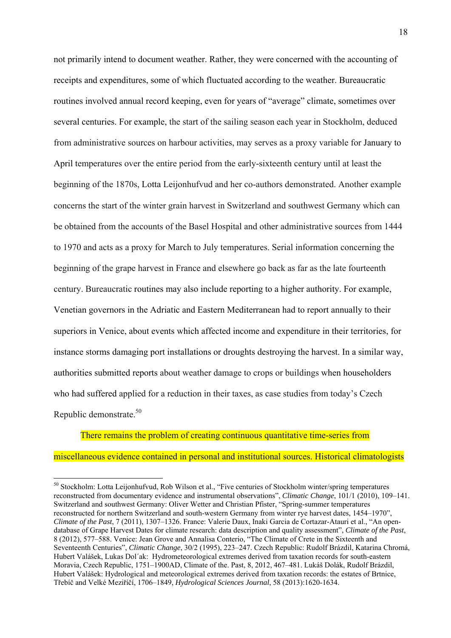not primarily intend to document weather. Rather, they were concerned with the accounting of receipts and expenditures, some of which fluctuated according to the weather. Bureaucratic routines involved annual record keeping, even for years of "average" climate, sometimes over several centuries. For example, the start of the sailing season each year in Stockholm, deduced from administrative sources on harbour activities, may serves as a proxy variable for January to April temperatures over the entire period from the early-sixteenth century until at least the beginning of the 1870s, Lotta Leijonhufvud and her co-authors demonstrated. Another example concerns the start of the winter grain harvest in Switzerland and southwest Germany which can be obtained from the accounts of the Basel Hospital and other administrative sources from 1444 to 1970 and acts as a proxy for March to July temperatures. Serial information concerning the beginning of the grape harvest in France and elsewhere go back as far as the late fourteenth century. Bureaucratic routines may also include reporting to a higher authority. For example, Venetian governors in the Adriatic and Eastern Mediterranean had to report annually to their superiors in Venice, about events which affected income and expenditure in their territories, for instance storms damaging port installations or droughts destroying the harvest. In a similar way, authorities submitted reports about weather damage to crops or buildings when householders who had suffered applied for a reduction in their taxes, as case studies from today's Czech Republic demonstrate.50

There remains the problem of creating continuous quantitative time-series from

<u>.</u>

miscellaneous evidence contained in personal and institutional sources. Historical climatologists

<sup>&</sup>lt;sup>50</sup> Stockholm: Lotta Leijonhufvud, Rob Wilson et al., "Five centuries of Stockholm winter/spring temperatures reconstructed from documentary evidence and instrumental observations", *Climatic Change*, 101/1 (2010), 109–141. Switzerland and southwest Germany: Oliver Wetter and Christian Pfister, "Spring-summer temperatures reconstructed for northern Switzerland and south-western Germany from winter rye harvest dates, 1454–1970", *Climate of the Past*, 7 (2011), 1307–1326. France: Valerie Daux, Inaki Garcia de Cortazar-Atauri et al., "An opendatabase of Grape Harvest Dates for climate research: data description and quality assessment", *Climate of the Past*, 8 (2012), 577–588. Venice: Jean Grove and Annalisa Conterio, "The Climate of Crete in the Sixteenth and Seventeenth Centuries", *Climatic Change*, 30/2 (1995), 223–247. Czech Republic: Rudolf Brázdil, Katarina Chromá, Hubert Valášek, Lukas Dol´ak: Hydrometeorological extremes derived from taxation records for south-eastern Moravia, Czech Republic, 1751–1900AD, Climate of the. Past, 8, 2012, 467–481. Lukáš Dolák, Rudolf Brázdil, Hubert Valášek: Hydrological and meteorological extremes derived from taxation records: the estates of Brtnice, Třebíč and Velké Meziříčí, 1706–1849, *Hydrological Sciences Journal*, 58 (2013):1620-1634.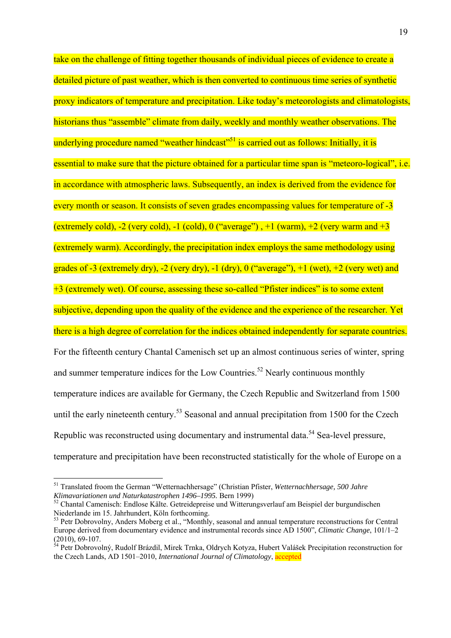take on the challenge of fitting together thousands of individual pieces of evidence to create a detailed picture of past weather, which is then converted to continuous time series of synthetic proxy indicators of temperature and precipitation. Like today's meteorologists and climatologists, historians thus "assemble" climate from daily, weekly and monthly weather observations. The underlying procedure named "weather hindcast"<sup>51</sup> is carried out as follows: Initially, it is essential to make sure that the picture obtained for a particular time span is "meteoro-logical", i.e. in accordance with atmospheric laws. Subsequently, an index is derived from the evidence for every month or season. It consists of seven grades encompassing values for temperature of -3 (extremely cold),  $-2$  (very cold),  $-1$  (cold),  $0$  ("average"),  $+1$  (warm),  $+2$  (very warm and  $+3$ (extremely warm). Accordingly, the precipitation index employs the same methodology using grades of -3 (extremely dry), -2 (very dry), -1 (dry),  $0$  ("average"), +1 (wet), +2 (very wet) and +3 (extremely wet). Of course, assessing these so-called "Pfister indices" is to some extent subjective, depending upon the quality of the evidence and the experience of the researcher. Yet there is a high degree of correlation for the indices obtained independently for separate countries. For the fifteenth century Chantal Camenisch set up an almost continuous series of winter, spring and summer temperature indices for the Low Countries.<sup>52</sup> Nearly continuous monthly temperature indices are available for Germany, the Czech Republic and Switzerland from 1500 until the early nineteenth century.<sup>53</sup> Seasonal and annual precipitation from 1500 for the Czech Republic was reconstructed using documentary and instrumental data.<sup>54</sup> Sea-level pressure, temperature and precipitation have been reconstructed statistically for the whole of Europe on a

<u>.</u>

<sup>51</sup> Translated froom the German "Wetternachhersage" (Christian Pfister, *Wetternachhersage, 500 Jahre Klimavariationen und Naturkatastrophen 1496–1995.* Bern 1999)<br><sup>52</sup> Chantal Camenisch: Endlose Kälte. Getreidepreise und Witterungsverlauf am Beispiel der burgundischen

Niederlande im 15. Jahrhundert, Köln forthcoming.

<sup>&</sup>lt;sup>53</sup> Petr Dobrovolny, Anders Moberg et al., "Monthly, seasonal and annual temperature reconstructions for Central Europe derived from documentary evidence and instrumental records since AD 1500", *Climatic Change*, 101/1–2 (2010), 69-107.

<sup>&</sup>lt;sup>54</sup> Petr Dobrovolný, Rudolf Brázdil, Mirek Trnka, Oldrych Kotyza, Hubert Valášek Precipitation reconstruction for the Czech Lands, AD 1501–2010, *International Journal of Climatology*, accepted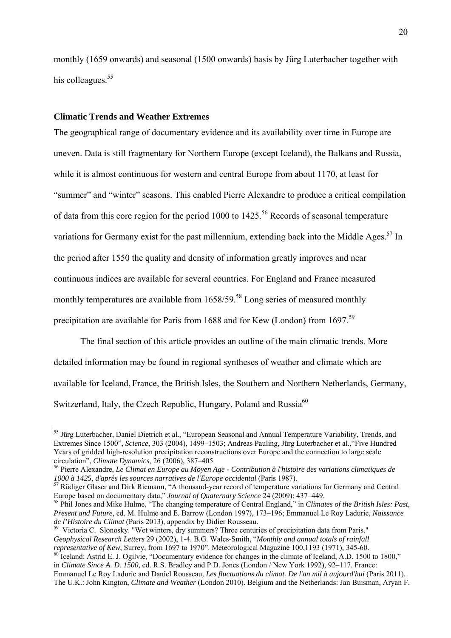monthly (1659 onwards) and seasonal (1500 onwards) basis by Jürg Luterbacher together with his colleagues.<sup>55</sup>

## **Climatic Trends and Weather Extremes**

<u>.</u>

The geographical range of documentary evidence and its availability over time in Europe are uneven. Data is still fragmentary for Northern Europe (except Iceland), the Balkans and Russia, while it is almost continuous for western and central Europe from about 1170, at least for "summer" and "winter" seasons. This enabled Pierre Alexandre to produce a critical compilation of data from this core region for the period 1000 to  $1425$ .<sup>56</sup> Records of seasonal temperature variations for Germany exist for the past millennium, extending back into the Middle Ages.<sup>57</sup> In the period after 1550 the quality and density of information greatly improves and near continuous indices are available for several countries. For England and France measured monthly temperatures are available from  $1658/59$ .<sup>58</sup> Long series of measured monthly precipitation are available for Paris from 1688 and for Kew (London) from 1697.<sup>59</sup>

The final section of this article provides an outline of the main climatic trends. More detailed information may be found in regional syntheses of weather and climate which are available for Iceland, France, the British Isles, the Southern and Northern Netherlands, Germany, Switzerland, Italy, the Czech Republic, Hungary, Poland and Russia<sup>60</sup>

<sup>&</sup>lt;sup>55</sup> Jürg Luterbacher, Daniel Dietrich et al., "European Seasonal and Annual Temperature Variability, Trends, and Extremes Since 1500", *Science*, 303 (2004), 1499–1503; Andreas Pauling, Jürg Luterbacher et al.,"Five Hundred Years of gridded high-resolution precipitation reconstructions over Europe and the connection to large scale circulation". Climate Dynamics. 26 (2006). 387–405.

<sup>&</sup>lt;sup>56</sup> Pierre Alexandre, *Le Climat en Europe au Moyen Age - Contribution à l'histoire des variations climatiques de 1000 à 1425, d'après les sources narratives de l'Europe occidental* (Paris 1987). 57 Rüdiger Glaser and Dirk Riemann, "A thousand-year record of temperature variations for Germany and Central

Europe based on documentary data," *Journal of Quaternary Science* 24 (2009): 437–449.<br><sup>58</sup> Phil Jones and Mike Hulme, "The changing temperature of Central England," in *Climates of the British Isles: Past,* 

*Present and Future*, ed. M. Hulme and E. Barrow (London 1997), 173–196; Emmanuel Le Roy Ladurie, *Naissance de l'Histoire du Climat* (Paris 2013), appendix by Didier Rousseau. 59 Victoria C. Slonosky. "Wet winters, dry summers? Three centuries of precipitation data from Paris."

*Geophysical Research Letters* 29 (2002), 1-4. B.G. Wales-Smith, "*Monthly and annual totals of rainfall* 

<sup>&</sup>lt;sup>60</sup> Iceland: Astrid E. J. Ogilvie, "Documentary evidence for changes in the climate of Iceland, A.D. 1500 to 1800," in *Climate Since A. D. 1500*, ed. R.S. Bradley and P.D. Jones (London / New York 1992), 92–117. France: Emmanuel Le Roy Ladurie and Daniel Rousseau*, Les fluctuations du climat. De l'an mil à aujourd'hui* (Paris 2011). The U.K.: John Kington, *Climate and Weather* (London 2010). Belgium and the Netherlands: Jan Buisman, Aryan F.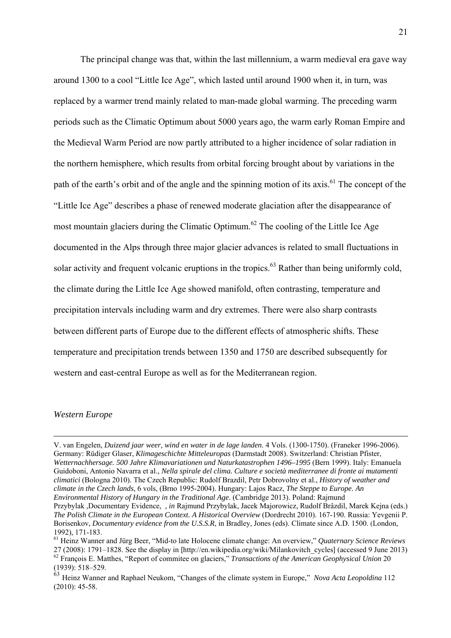The principal change was that, within the last millennium, a warm medieval era gave way around 1300 to a cool "Little Ice Age", which lasted until around 1900 when it, in turn, was replaced by a warmer trend mainly related to man-made global warming. The preceding warm periods such as the Climatic Optimum about 5000 years ago, the warm early Roman Empire and the Medieval Warm Period are now partly attributed to a higher incidence of solar radiation in the northern hemisphere, which results from orbital forcing brought about by variations in the path of the earth's orbit and of the angle and the spinning motion of its axis.<sup>61</sup> The concept of the "Little Ice Age" describes a phase of renewed moderate glaciation after the disappearance of most mountain glaciers during the Climatic Optimum.<sup>62</sup> The cooling of the Little Ice Age documented in the Alps through three major glacier advances is related to small fluctuations in solar activity and frequent volcanic eruptions in the tropics.<sup>63</sup> Rather than being uniformly cold, the climate during the Little Ice Age showed manifold, often contrasting, temperature and precipitation intervals including warm and dry extremes. There were also sharp contrasts between different parts of Europe due to the different effects of atmospheric shifts. These temperature and precipitation trends between 1350 and 1750 are described subsequently for western and east-central Europe as well as for the Mediterranean region.

### *Western Europe*

 V. van Engelen, *Duizend jaar weer, wind en water in de lage landen*. 4 Vols. (1300-1750). (Franeker 1996-2006). Germany: Rüdiger Glaser, *Klimageschichte Mitteleuropas* (Darmstadt 2008). Switzerland: Christian Pfister, *Wetternachhersage. 500 Jahre Klimavariationen und Naturkatastrophen 1496–1995* (Bern 1999). Italy: Emanuela Guidoboni, Antonio Navarra et al., *Nella spirale del clima. Culture e società mediterranee di fronte ai mutamenti climatici* (Bologna 2010). The Czech Republic: Rudolf Brazdil, Petr Dobrovolny et al., *History of weather and climate in the Czech lands*, 6 vols, (Brno 1995-2004). Hungary: Lajos Racz, *The Steppe to Europe. An Environmental History of Hungary in the Traditional Age.* (Cambridge 2013). Poland: Rajmund Przybylak ,Documentary Evidence, *, in* Rajmund Przybylak, Jacek Majorowicz, Rudolf Brâzdil, Marek Kejna (eds.) *The Polish Climate in the European Context. A Historical Overview* (Dordrecht 2010). 167-190. Russia: Yevgenii P. Borisenkov, *Documentary evidence from the U.S.S.R*, in Bradley, Jones (eds). Climate since A.D. 1500. (London, 1992), 171-183.

<sup>61</sup> Heinz Wanner and Jürg Beer, "Mid-to late Holocene climate change: An overview," *Quaternary Science Reviews* 27 (2008): 1791–1828. See the display in [http://en.wikipedia.org/wiki/Milankovitch\_cycles] (accessed 9 June 2013) <sup>62</sup> Francois E. Matthes, "Report of commitee on glaciers," *Transactions of the American Geophysical Union* (1939): 518–529.

<sup>63</sup> Heinz Wanner and Raphael Neukom, "Changes of the climate system in Europe," *Nova Acta Leopoldina* 112 (2010): 45-58.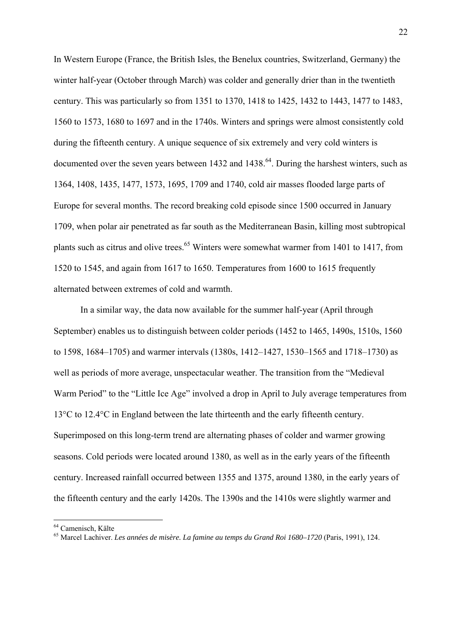In Western Europe (France, the British Isles, the Benelux countries, Switzerland, Germany) the winter half-year (October through March) was colder and generally drier than in the twentieth century. This was particularly so from 1351 to 1370, 1418 to 1425, 1432 to 1443, 1477 to 1483, 1560 to 1573, 1680 to 1697 and in the 1740s. Winters and springs were almost consistently cold during the fifteenth century. A unique sequence of six extremely and very cold winters is documented over the seven years between 1432 and  $1438<sup>64</sup>$ . During the harshest winters, such as 1364, 1408, 1435, 1477, 1573, 1695, 1709 and 1740, cold air masses flooded large parts of Europe for several months. The record breaking cold episode since 1500 occurred in January 1709, when polar air penetrated as far south as the Mediterranean Basin, killing most subtropical plants such as citrus and olive trees.<sup>65</sup> Winters were somewhat warmer from 1401 to 1417, from 1520 to 1545, and again from 1617 to 1650. Temperatures from 1600 to 1615 frequently alternated between extremes of cold and warmth.

In a similar way, the data now available for the summer half-year (April through September) enables us to distinguish between colder periods (1452 to 1465, 1490s, 1510s, 1560 to 1598, 1684–1705) and warmer intervals (1380s, 1412–1427, 1530–1565 and 1718–1730) as well as periods of more average, unspectacular weather. The transition from the "Medieval Warm Period" to the "Little Ice Age" involved a drop in April to July average temperatures from 13°C to 12.4°C in England between the late thirteenth and the early fifteenth century. Superimposed on this long-term trend are alternating phases of colder and warmer growing seasons. Cold periods were located around 1380, as well as in the early years of the fifteenth century. Increased rainfall occurred between 1355 and 1375, around 1380, in the early years of the fifteenth century and the early 1420s. The 1390s and the 1410s were slightly warmer and

<sup>&</sup>lt;sup>64</sup> Camenisch, Kälte

<sup>65</sup> Marcel Lachiver. *Les années de misère. La famine au temps du Grand Roi 1680–1720* (Paris, 1991), 124.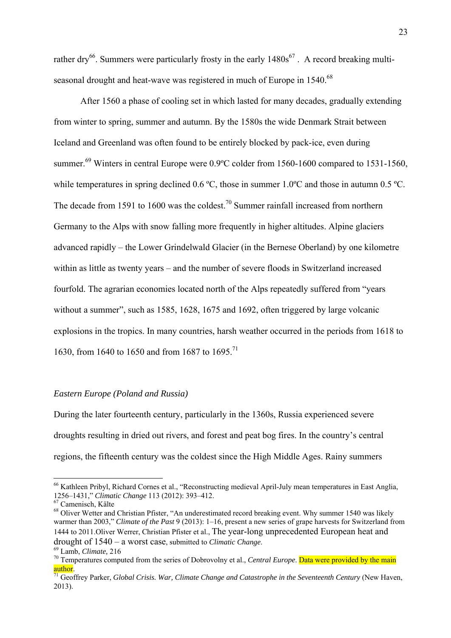rather dry<sup>66</sup>. Summers were particularly frosty in the early  $1480s^{67}$ . A record breaking multiseasonal drought and heat-wave was registered in much of Europe in 1540.<sup>68</sup>

After 1560 a phase of cooling set in which lasted for many decades, gradually extending from winter to spring, summer and autumn. By the 1580s the wide Denmark Strait between Iceland and Greenland was often found to be entirely blocked by pack-ice, even during summer.<sup>69</sup> Winters in central Europe were  $0.9^{\circ}$ C colder from 1560-1600 compared to 1531-1560, while temperatures in spring declined 0.6 °C, those in summer 1.0°C and those in autumn 0.5 °C. The decade from 1591 to 1600 was the coldest.<sup>70</sup> Summer rainfall increased from northern Germany to the Alps with snow falling more frequently in higher altitudes. Alpine glaciers advanced rapidly – the Lower Grindelwald Glacier (in the Bernese Oberland) by one kilometre within as little as twenty years – and the number of severe floods in Switzerland increased fourfold. The agrarian economies located north of the Alps repeatedly suffered from "years without a summer", such as 1585, 1628, 1675 and 1692, often triggered by large volcanic explosions in the tropics. In many countries, harsh weather occurred in the periods from 1618 to 1630, from 1640 to 1650 and from 1687 to 1695.<sup>71</sup>

## *Eastern Europe (Poland and Russia)*

During the later fourteenth century, particularly in the 1360s, Russia experienced severe droughts resulting in dried out rivers, and forest and peat bog fires. In the country's central regions, the fifteenth century was the coldest since the High Middle Ages. Rainy summers

<u>.</u>

<sup>&</sup>lt;sup>66</sup> Kathleen Pribyl, Richard Cornes et al., "Reconstructing medieval April-July mean temperatures in East Anglia, 1256–1431," *Climatic Change* 113 (2012): 393–412. 67 Camenisch, Kälte

<sup>&</sup>lt;sup>68</sup> Oliver Wetter and Christian Pfister, "An underestimated record breaking event. Why summer 1540 was likely warmer than 2003," *Climate of the Past* 9 (2013): 1–16, present a new series of grape harvests for Switzerland from 1444 to 2011.Oliver Werrer, Christian Pfister et al., The year-long unprecedented European heat and drought of 1540 – a worst case, submitted to *Climatic Change*.<br><sup>69</sup> Lamb, *Climate*, 216<br><sup>70</sup> Temperatures computed from the series of Dobrovolny et al., *Central Europe*. **Data were provided by the main** 

author.<sup>1</sup>

<sup>&</sup>lt;sup>71</sup> Geoffrey Parker, *Global Crisis. War, Climate Change and Catastrophe in the Seventeenth Century* (New Haven, 2013).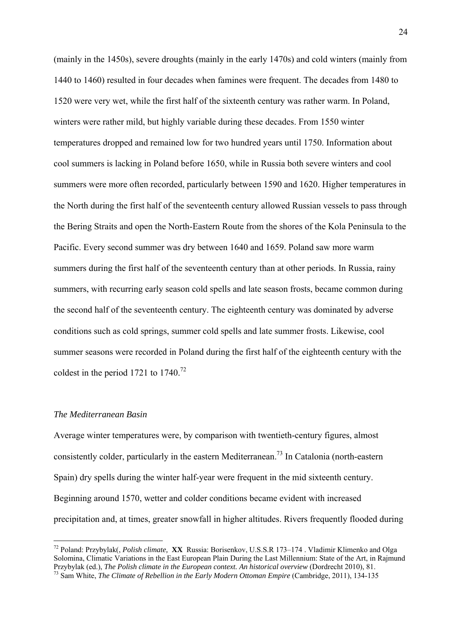(mainly in the 1450s), severe droughts (mainly in the early 1470s) and cold winters (mainly from 1440 to 1460) resulted in four decades when famines were frequent. The decades from 1480 to 1520 were very wet, while the first half of the sixteenth century was rather warm. In Poland, winters were rather mild, but highly variable during these decades. From 1550 winter temperatures dropped and remained low for two hundred years until 1750. Information about cool summers is lacking in Poland before 1650, while in Russia both severe winters and cool summers were more often recorded, particularly between 1590 and 1620. Higher temperatures in the North during the first half of the seventeenth century allowed Russian vessels to pass through the Bering Straits and open the North-Eastern Route from the shores of the Kola Peninsula to the Pacific. Every second summer was dry between 1640 and 1659. Poland saw more warm summers during the first half of the seventeenth century than at other periods. In Russia, rainy summers, with recurring early season cold spells and late season frosts, became common during the second half of the seventeenth century. The eighteenth century was dominated by adverse conditions such as cold springs, summer cold spells and late summer frosts. Likewise, cool summer seasons were recorded in Poland during the first half of the eighteenth century with the coldest in the period 1721 to  $1740^{72}$ 

## *The Mediterranean Basin*

<u>.</u>

Average winter temperatures were, by comparison with twentieth-century figures, almost consistently colder, particularly in the eastern Mediterranean.<sup>73</sup> In Catalonia (north-eastern Spain) dry spells during the winter half-year were frequent in the mid sixteenth century. Beginning around 1570, wetter and colder conditions became evident with increased precipitation and, at times, greater snowfall in higher altitudes. Rivers frequently flooded during

<sup>72</sup> Poland: Przybylak(, *Polish climate,* **XX** Russia: Borisenkov, U.S.S.R 173–174 . Vladimir Klimenko and Olga Solomina, Climatic Variations in the East European Plain During the Last Millennium: State of the Art, in Rajmund Przybylak (ed.), *The Polish climate in the European context. An historical overview* (Dordrecht 2010), 81. 73 Sam White, *The Climate of Rebellion in the Early Modern Ottoman Empire* (Cambridge, 2011), 134-135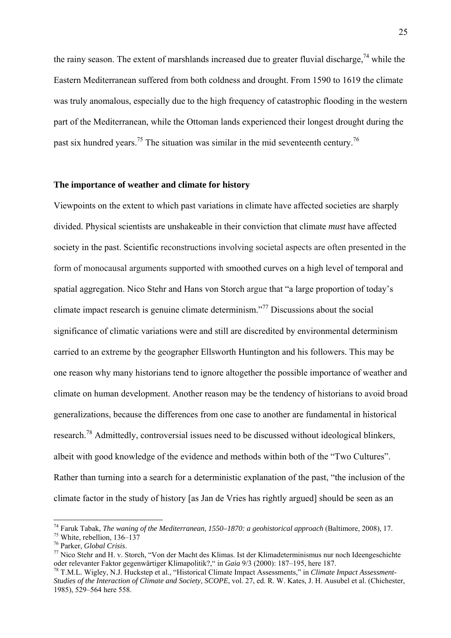the rainy season. The extent of marshlands increased due to greater fluvial discharge,  $^{74}$  while the Eastern Mediterranean suffered from both coldness and drought. From 1590 to 1619 the climate was truly anomalous, especially due to the high frequency of catastrophic flooding in the western part of the Mediterranean, while the Ottoman lands experienced their longest drought during the past six hundred years.<sup>75</sup> The situation was similar in the mid seventeenth century.<sup>76</sup>

## **The importance of weather and climate for history**

Viewpoints on the extent to which past variations in climate have affected societies are sharply divided. Physical scientists are unshakeable in their conviction that climate *must* have affected society in the past. Scientific reconstructions involving societal aspects are often presented in the form of monocausal arguments supported with smoothed curves on a high level of temporal and spatial aggregation. Nico Stehr and Hans von Storch argue that "a large proportion of today's climate impact research is genuine climate determinism."77 Discussions about the social significance of climatic variations were and still are discredited by environmental determinism carried to an extreme by the geographer Ellsworth Huntington and his followers. This may be one reason why many historians tend to ignore altogether the possible importance of weather and climate on human development. Another reason may be the tendency of historians to avoid broad generalizations, because the differences from one case to another are fundamental in historical research.78 Admittedly, controversial issues need to be discussed without ideological blinkers, albeit with good knowledge of the evidence and methods within both of the "Two Cultures". Rather than turning into a search for a deterministic explanation of the past, "the inclusion of the climate factor in the study of history [as Jan de Vries has rightly argued] should be seen as an

<sup>74</sup> Faruk Tabak, *The waning of the Mediterranean, 1550–1870: a geohistorical approach* (Baltimore, 2008), 17. 75 White, rebellion, 136–137

<sup>&</sup>lt;sup>77</sup> Nico Stehr and H. v. Storch, "Von der Macht des Klimas. Ist der Klimadeterminismus nur noch Ideengeschichte oder relevanter Faktor gegenwärtiger Klimapolitik?, " in *Gaia* 9/3 (2000): 187–195, here 187.

<sup>&</sup>lt;sup>78</sup> T.M.L. Wigley, N.J. Huckstep et al., "Historical Climate Impact Assessments," in *Climate Impact Assessment-Studies of the Interaction of Climate and Society, SCOPE*, vol. 27, ed. R. W. Kates, J. H. Ausubel et al. (Chichester, 1985), 529–564 here 558.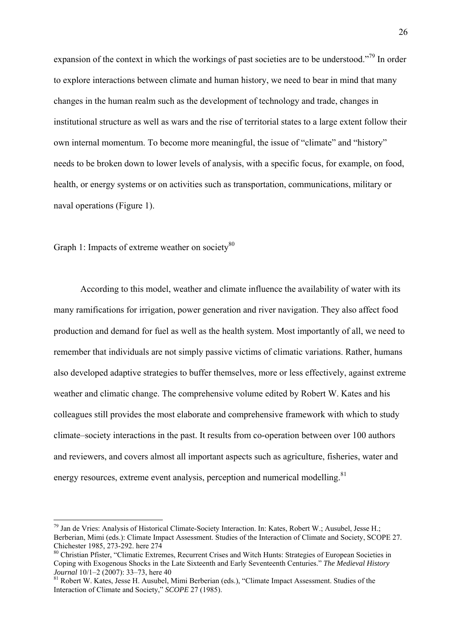expansion of the context in which the workings of past societies are to be understood."<sup>79</sup> In order to explore interactions between climate and human history, we need to bear in mind that many changes in the human realm such as the development of technology and trade, changes in institutional structure as well as wars and the rise of territorial states to a large extent follow their own internal momentum. To become more meaningful, the issue of "climate" and "history" needs to be broken down to lower levels of analysis, with a specific focus, for example, on food, health, or energy systems or on activities such as transportation, communications, military or naval operations (Figure 1).

Graph 1: Impacts of extreme weather on society $80$ 

1

According to this model, weather and climate influence the availability of water with its many ramifications for irrigation, power generation and river navigation. They also affect food production and demand for fuel as well as the health system. Most importantly of all, we need to remember that individuals are not simply passive victims of climatic variations. Rather, humans also developed adaptive strategies to buffer themselves, more or less effectively, against extreme weather and climatic change. The comprehensive volume edited by Robert W. Kates and his colleagues still provides the most elaborate and comprehensive framework with which to study climate–society interactions in the past. It results from co-operation between over 100 authors and reviewers, and covers almost all important aspects such as agriculture, fisheries, water and energy resources, extreme event analysis, perception and numerical modelling.<sup>81</sup>

<sup>79</sup> Jan de Vries: Analysis of Historical Climate-Society Interaction. In: Kates, Robert W.; Ausubel, Jesse H.; Berberian, Mimi (eds.): Climate Impact Assessment. Studies of the Interaction of Climate and Society, SCOPE 27. Chichester 1985, 273-292. here 274<br><sup>80</sup> Christian Pfister, "Climatic Extremes, Recurrent Crises and Witch Hunts: Strategies of European Societies in

Coping with Exogenous Shocks in the Late Sixteenth and Early Seventeenth Centuries." *The Medieval History Journal* 10/1–2 (2007): 33–73, here 40<br><sup>81</sup> Robert W. Kates, Jesse H. Ausubel, Mimi Berberian (eds.), "Climate Impact Assessment. Studies of the

Interaction of Climate and Society," *SCOPE* 27 (1985).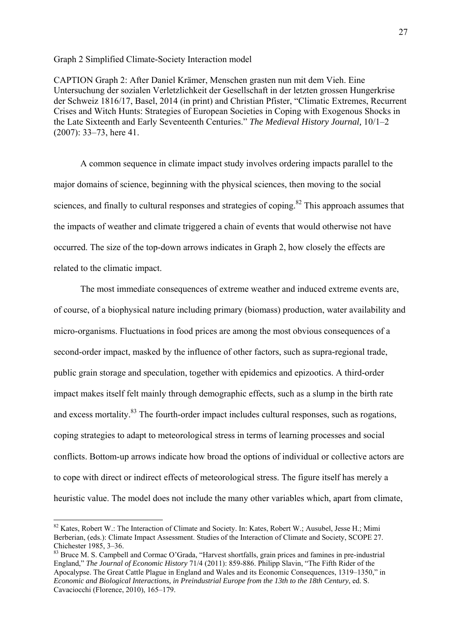### Graph 2 Simplified Climate-Society Interaction model

CAPTION Graph 2: After Daniel Krämer, Menschen grasten nun mit dem Vieh. Eine Untersuchung der sozialen Verletzlichkeit der Gesellschaft in der letzten grossen Hungerkrise der Schweiz 1816/17, Basel, 2014 (in print) and Christian Pfister, "Climatic Extremes, Recurrent Crises and Witch Hunts: Strategies of European Societies in Coping with Exogenous Shocks in the Late Sixteenth and Early Seventeenth Centuries." *The Medieval History Journal,* 10/1–2 (2007): 33–73, here 41.

A common sequence in climate impact study involves ordering impacts parallel to the major domains of science, beginning with the physical sciences, then moving to the social sciences, and finally to cultural responses and strategies of coping.<sup>82</sup> This approach assumes that the impacts of weather and climate triggered a chain of events that would otherwise not have occurred. The size of the top-down arrows indicates in Graph 2, how closely the effects are related to the climatic impact.

The most immediate consequences of extreme weather and induced extreme events are, of course, of a biophysical nature including primary (biomass) production, water availability and micro-organisms. Fluctuations in food prices are among the most obvious consequences of a second-order impact, masked by the influence of other factors, such as supra-regional trade, public grain storage and speculation, together with epidemics and epizootics. A third-order impact makes itself felt mainly through demographic effects, such as a slump in the birth rate and excess mortality.<sup>83</sup> The fourth-order impact includes cultural responses, such as rogations, coping strategies to adapt to meteorological stress in terms of learning processes and social conflicts. Bottom-up arrows indicate how broad the options of individual or collective actors are to cope with direct or indirect effects of meteorological stress. The figure itself has merely a heuristic value. The model does not include the many other variables which, apart from climate,

<sup>&</sup>lt;sup>82</sup> Kates, Robert W.: The Interaction of Climate and Society. In: Kates, Robert W.: Ausubel, Jesse H.; Mimi Berberian, (eds.): Climate Impact Assessment. Studies of the Interaction of Climate and Society, SCOPE 27. Chichester 1985, 3–36.

<sup>&</sup>lt;sup>83</sup> Bruce M. S. Campbell and Cormac O'Grada, "Harvest shortfalls, grain prices and famines in pre-industrial England," *The Journal of Economic History* 71/4 (2011): 859-886. Philipp Slavin, "The Fifth Rider of the Apocalypse. The Great Cattle Plague in England and Wales and its Economic Consequences, 1319–1350," in *Economic and Biological Interactions, in Preindustrial Europe from the 13th to the 18th Century*, ed. S. Cavaciocchi (Florence, 2010), 165–179.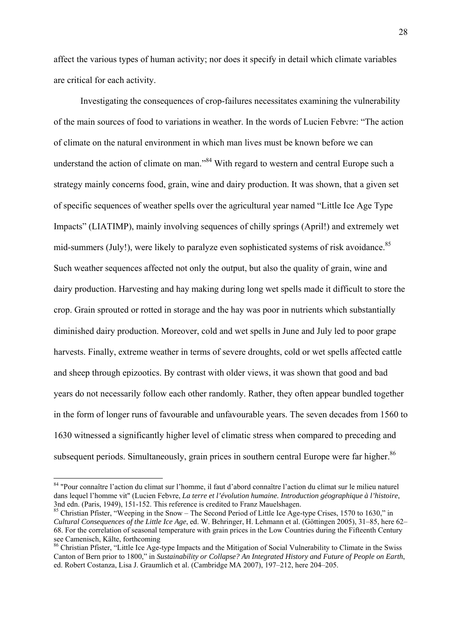affect the various types of human activity; nor does it specify in detail which climate variables are critical for each activity.

Investigating the consequences of crop-failures necessitates examining the vulnerability of the main sources of food to variations in weather. In the words of Lucien Febvre: "The action of climate on the natural environment in which man lives must be known before we can understand the action of climate on man."<sup>84</sup> With regard to western and central Europe such a strategy mainly concerns food, grain, wine and dairy production. It was shown, that a given set of specific sequences of weather spells over the agricultural year named "Little Ice Age Type Impacts" (LIATIMP), mainly involving sequences of chilly springs (April!) and extremely wet mid-summers (July!), were likely to paralyze even sophisticated systems of risk avoidance.<sup>85</sup> Such weather sequences affected not only the output, but also the quality of grain, wine and dairy production. Harvesting and hay making during long wet spells made it difficult to store the crop. Grain sprouted or rotted in storage and the hay was poor in nutrients which substantially diminished dairy production. Moreover, cold and wet spells in June and July led to poor grape harvests. Finally, extreme weather in terms of severe droughts, cold or wet spells affected cattle and sheep through epizootics. By contrast with older views, it was shown that good and bad years do not necessarily follow each other randomly. Rather, they often appear bundled together in the form of longer runs of favourable and unfavourable years. The seven decades from 1560 to 1630 witnessed a significantly higher level of climatic stress when compared to preceding and subsequent periods. Simultaneously, grain prices in southern central Europe were far higher.<sup>86</sup>

<u>.</u>

<sup>84 &</sup>quot;Pour connaître l'action du climat sur l'homme, il faut d'abord connaître l'action du climat sur le milieu naturel dans lequel l'homme vit" (Lucien Febvre, *La terre et l'évolution humaine. Introduction géographique à l'histoire*, 3nd edn. (Paris, 1949), 151-152. This reference is credited to Franz Mauelshagen.

<sup>&</sup>lt;sup>85</sup> Christian Pfister, "Weeping in the Snow – The Second Period of Little Ice Age-type Crises, 1570 to 1630," in *Cultural Consequences of the Little Ice Age*, ed. W. Behringer, H. Lehmann et al. (Göttingen 2005), 31–85, here 62– 68. For the correlation of seasonal temperature with grain prices in the Low Countries during the Fifteenth Century see Camenisch, Kälte, forthcoming

<sup>&</sup>lt;sup>86</sup> Christian Pfister, "Little Ice Age-type Impacts and the Mitigation of Social Vulnerability to Climate in the Swiss Canton of Bern prior to 1800," in *Sustainability or Collapse? An Integrated History and Future of People on Earth*, ed. Robert Costanza, Lisa J. Graumlich et al. (Cambridge MA 2007), 197–212, here 204–205.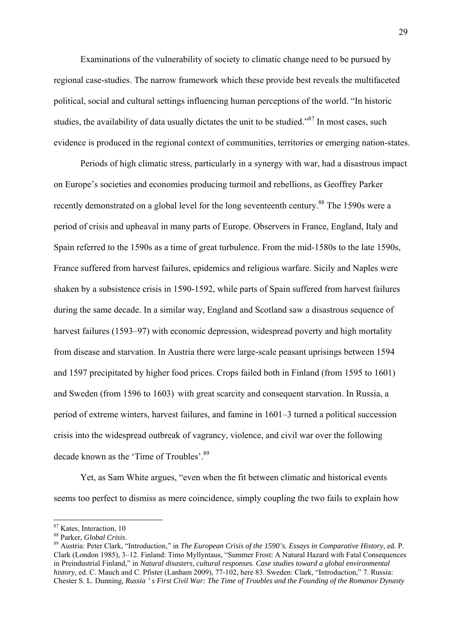Examinations of the vulnerability of society to climatic change need to be pursued by regional case-studies. The narrow framework which these provide best reveals the multifaceted political, social and cultural settings influencing human perceptions of the world. "In historic studies, the availability of data usually dictates the unit to be studied."<sup>87</sup> In most cases, such evidence is produced in the regional context of communities, territories or emerging nation-states.

Periods of high climatic stress, particularly in a synergy with war, had a disastrous impact on Europe's societies and economies producing turmoil and rebellions, as Geoffrey Parker recently demonstrated on a global level for the long seventeenth century.<sup>88</sup> The 1590s were a period of crisis and upheaval in many parts of Europe. Observers in France, England, Italy and Spain referred to the 1590s as a time of great turbulence. From the mid-1580s to the late 1590s, France suffered from harvest failures, epidemics and religious warfare. Sicily and Naples were shaken by a subsistence crisis in 1590-1592, while parts of Spain suffered from harvest failures during the same decade. In a similar way, England and Scotland saw a disastrous sequence of harvest failures (1593–97) with economic depression, widespread poverty and high mortality from disease and starvation. In Austria there were large-scale peasant uprisings between 1594 and 1597 precipitated by higher food prices. Crops failed both in Finland (from 1595 to 1601) and Sweden (from 1596 to 1603) with great scarcity and consequent starvation. In Russia, a period of extreme winters, harvest failures, and famine in 1601–3 turned a political succession crisis into the widespread outbreak of vagrancy, violence, and civil war over the following decade known as the 'Time of Troubles'.<sup>89</sup>

Yet, as Sam White argues, "even when the fit between climatic and historical events seems too perfect to dismiss as mere coincidence, simply coupling the two fails to explain how

 $87$  Kates, Interaction, 10<br> $88$  Parker, *Global Crisis*.

<sup>&</sup>lt;sup>89</sup> Austria: Peter Clark, "Introduction," in *The European Crisis of the 1590's. Essays in Comparative History*, ed. P. Clark (London 1985), 3–12. Finland: Timo Myllyntaus, "Summer Frost: A Natural Hazard with Fatal Consequences in Preindustrial Finland," in *Natural disasters, cultural responses. Case studies toward a global environmental history*, ed. C. Mauch and C. Pfister (Lanham 2009), 77-102, here 83. Sweden: Clark, "Introduction," 7. Russia: Chester S. L. Dunning, *Russia ' s First Civil War: The Time of Troubles and the Founding of the Romanov Dynasty*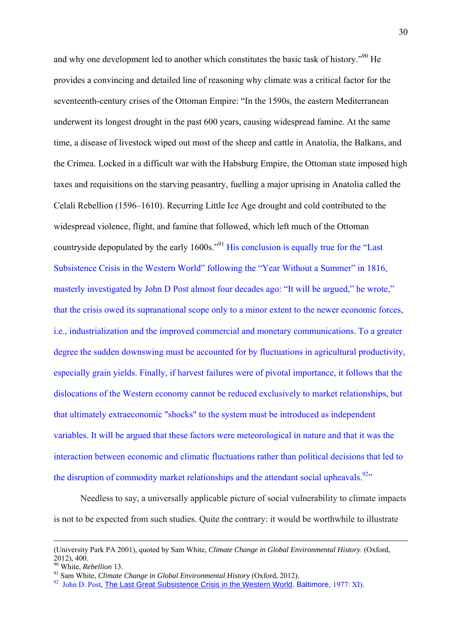and why one development led to another which constitutes the basic task of history."<sup>90</sup> He provides a convincing and detailed line of reasoning why climate was a critical factor for the seventeenth-century crises of the Ottoman Empire: "In the 1590s, the eastern Mediterranean underwent its longest drought in the past 600 years, causing widespread famine. At the same time, a disease of livestock wiped out most of the sheep and cattle in Anatolia, the Balkans, and the Crimea. Locked in a difficult war with the Habsburg Empire, the Ottoman state imposed high taxes and requisitions on the starving peasantry, fuelling a major uprising in Anatolia called the Celali Rebellion (1596–1610). Recurring Little Ice Age drought and cold contributed to the widespread violence, flight, and famine that followed, which left much of the Ottoman countryside depopulated by the early 1600s."<sup>91</sup> His conclusion is equally true for the "Last" Subsistence Crisis in the Western World" following the "Year Without a Summer" in 1816, masterly investigated by John D Post almost four decades ago: "It will be argued," he wrote," that the crisis owed its supranational scope only to a minor extent to the newer economic forces, i.e., industrialization and the improved commercial and monetary communications. To a greater degree the sudden downswing must be accounted for by fluctuations in agricultural productivity, especially grain yields. Finally, if harvest failures were of pivotal importance, it follows that the dislocations of the Western economy cannot be reduced exclusively to market relationships, but that ultimately extraeconomic "shocks" to the system must be introduced as independent variables. It will be argued that these factors were meteorological in nature and that it was the interaction between economic and climatic fluctuations rather than political decisions that led to the disruption of commodity market relationships and the attendant social upheavals.<sup>92</sup>"

Needless to say, a universally applicable picture of social vulnerability to climate impacts is not to be expected from such studies. Quite the contrary: it would be worthwhile to illustrate

 <sup>(</sup>University Park PA 2001), quoted by Sam White, *Climate Change in Global Environmental History*. (Oxford, 2012), 400.<br><sup>90</sup> White. *Rebellion* 13.

<sup>&</sup>lt;sup>91</sup> Sam White, *Climate Change in Global Environmental History* (Oxford, 2012). <sup>92</sup> John D. Post, The Last Great Subsistence Crisis in the Western World. Baltimore, 1977: XI).